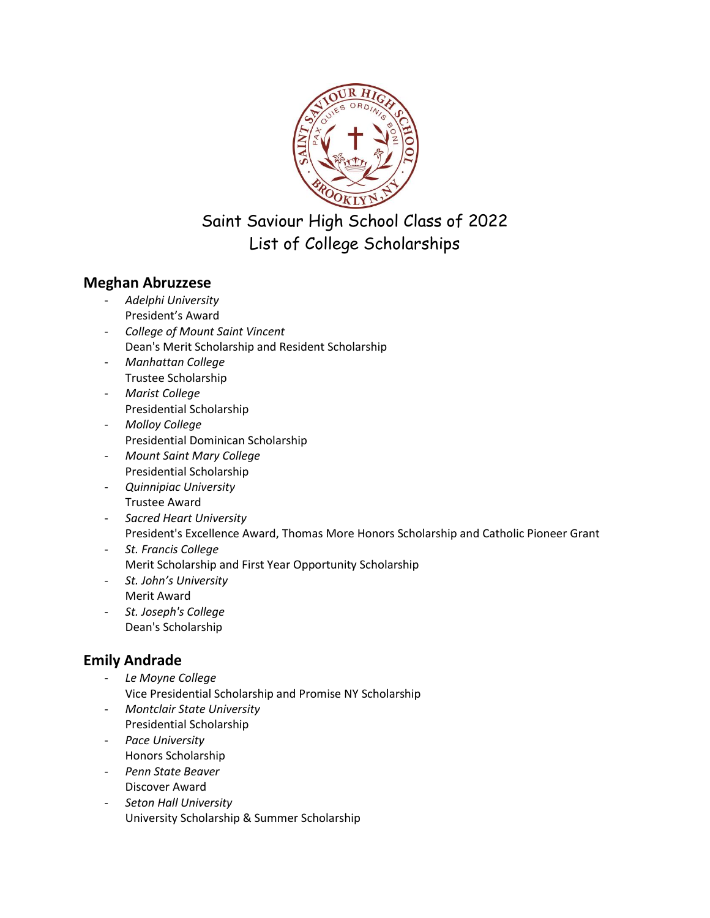

Saint Saviour High School Class of 2022 List of College Scholarships

## **Meghan Abruzzese**

- *Adelphi University* President's Award
- *College of Mount Saint Vincent* Dean's Merit Scholarship and Resident Scholarship
- *Manhattan College* Trustee Scholarship
- *Marist College* Presidential Scholarship
- *Molloy College* Presidential Dominican Scholarship
- *Mount Saint Mary College* Presidential Scholarship
- *Quinnipiac University* Trustee Award
- *Sacred Heart University* President's Excellence Award, Thomas More Honors Scholarship and Catholic Pioneer Grant
- *St. Francis College* Merit Scholarship and First Year Opportunity Scholarship
- *St. John's University* Merit Award
- *St. Joseph's College* Dean's Scholarship

# **Emily Andrade**

- *Le Moyne College* Vice Presidential Scholarship and Promise NY Scholarship
- *Montclair State University* Presidential Scholarship
- *Pace University* Honors Scholarship
- *Penn State Beaver* Discover Award
- *Seton Hall University* University Scholarship & Summer Scholarship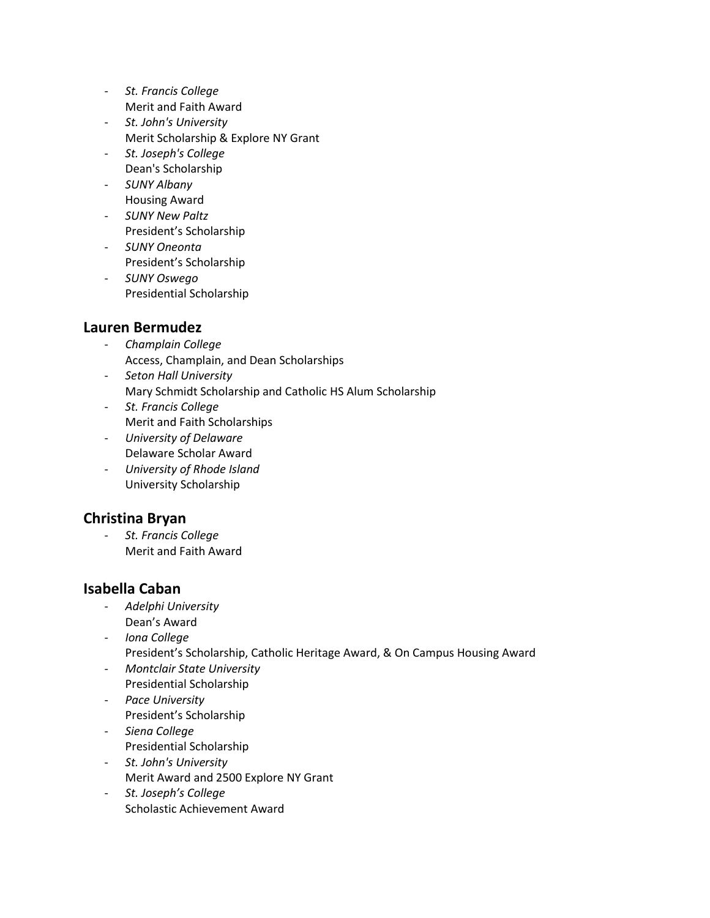- *St. Francis College* Merit and Faith Award
- *St. John's University* Merit Scholarship & Explore NY Grant
- *St. Joseph's College* Dean's Scholarship
- *SUNY Albany* Housing Award
- *SUNY New Paltz* President's Scholarship
- *SUNY Oneonta* President's Scholarship
- *SUNY Oswego* Presidential Scholarship

## **Lauren Bermudez**

- *Champlain College* Access, Champlain, and Dean Scholarships
- *Seton Hall University* Mary Schmidt Scholarship and Catholic HS Alum Scholarship
- *St. Francis College* Merit and Faith Scholarships
- *University of Delaware* Delaware Scholar Award
- *University of Rhode Island* University Scholarship

# **Christina Bryan**

- *St. Francis College* Merit and Faith Award

# **Isabella Caban**

- *Adelphi University* Dean's Award
- *Iona College* President's Scholarship, Catholic Heritage Award, & On Campus Housing Award
- *Montclair State University* Presidential Scholarship
- *Pace University* President's Scholarship
- *Siena College* Presidential Scholarship
- *St. John's University* Merit Award and 2500 Explore NY Grant
- *St. Joseph's College* Scholastic Achievement Award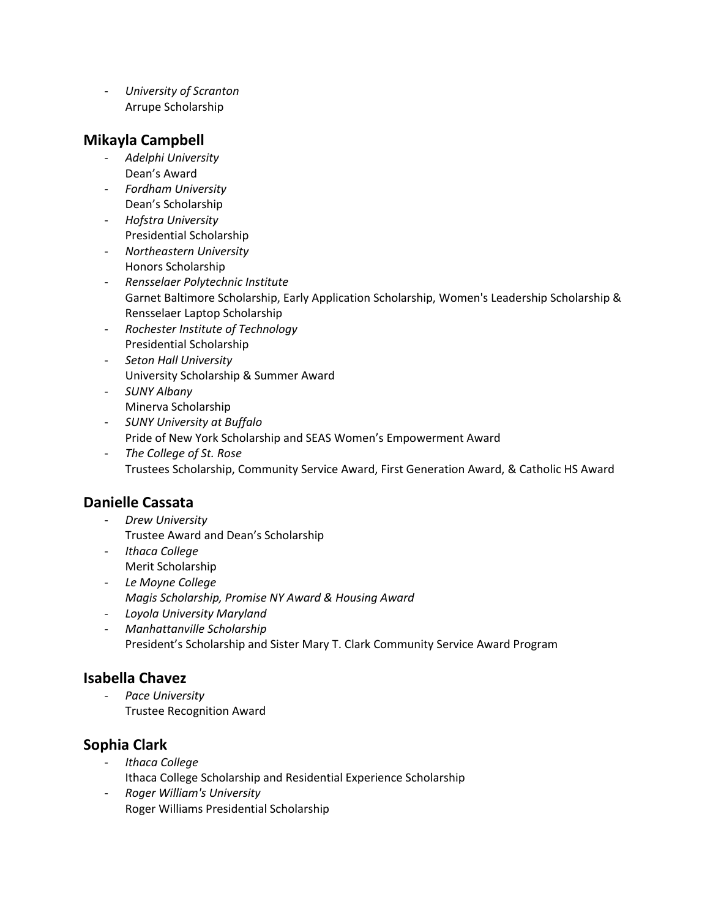- *University of Scranton* Arrupe Scholarship

### **Mikayla Campbell**

- *Adelphi University* Dean's Award
- *Fordham University* Dean's Scholarship
- *Hofstra University* Presidential Scholarship
- *Northeastern University* Honors Scholarship
- *Rensselaer Polytechnic Institute* Garnet Baltimore Scholarship, Early Application Scholarship, Women's Leadership Scholarship & Rensselaer Laptop Scholarship
- *Rochester Institute of Technology* Presidential Scholarship
- *Seton Hall University* University Scholarship & Summer Award
- *SUNY Albany* Minerva Scholarship
- *SUNY University at Buffalo* Pride of New York Scholarship and SEAS Women's Empowerment Award
- *The College of St. Rose* Trustees Scholarship, Community Service Award, First Generation Award, & Catholic HS Award

# **Danielle Cassata**

- *Drew University* Trustee Award and Dean's Scholarship
- *Ithaca College* Merit Scholarship
- *Le Moyne College Magis Scholarship, Promise NY Award & Housing Award*
- *Loyola University Maryland*
- *Manhattanville Scholarship* President's Scholarship and Sister Mary T. Clark Community Service Award Program

# **Isabella Chavez**

- *Pace University* Trustee Recognition Award

## **Sophia Clark**

- *Ithaca College* Ithaca College Scholarship and Residential Experience Scholarship
- *Roger William's University* Roger Williams Presidential Scholarship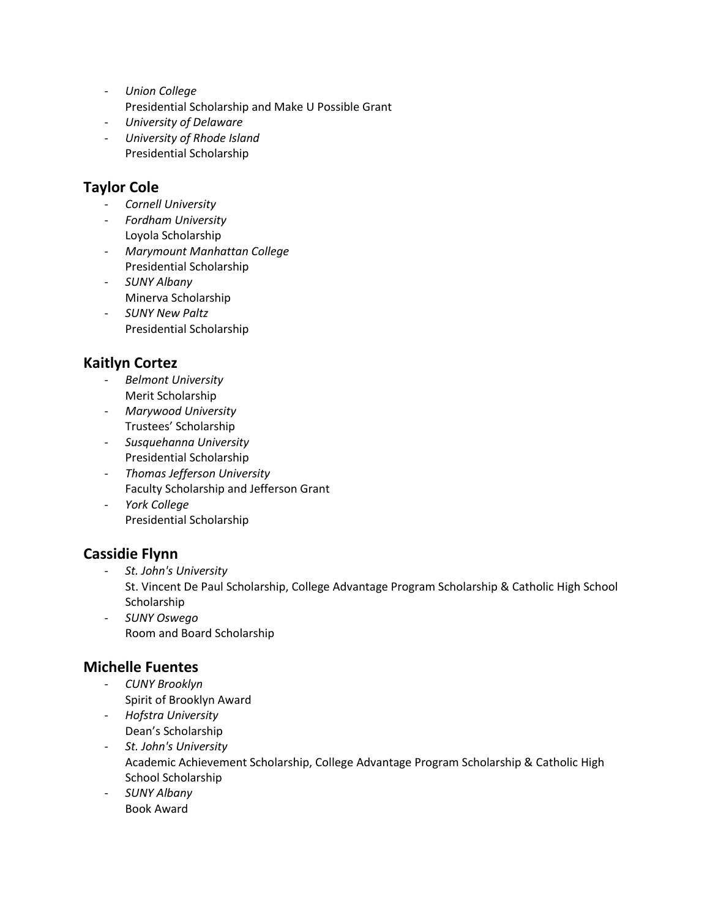- *Union College* Presidential Scholarship and Make U Possible Grant
- *University of Delaware*
- *University of Rhode Island* Presidential Scholarship

## **Taylor Cole**

- *Cornell University*
- *Fordham University* Loyola Scholarship
- *Marymount Manhattan College* Presidential Scholarship
- *SUNY Albany* Minerva Scholarship
- *SUNY New Paltz* Presidential Scholarship

# **Kaitlyn Cortez**

- *Belmont University* Merit Scholarship
- *Marywood University* Trustees' Scholarship
- *Susquehanna University* Presidential Scholarship
- *Thomas Jefferson University* Faculty Scholarship and Jefferson Grant
- *York College* Presidential Scholarship

## **Cassidie Flynn**

- *St. John's University* St. Vincent De Paul Scholarship, College Advantage Program Scholarship & Catholic High School **Scholarship**
- *SUNY Oswego* Room and Board Scholarship

## **Michelle Fuentes**

- *CUNY Brooklyn* Spirit of Brooklyn Award
- *Hofstra University* Dean's Scholarship
- *St. John's University* Academic Achievement Scholarship, College Advantage Program Scholarship & Catholic High School Scholarship
- *SUNY Albany* Book Award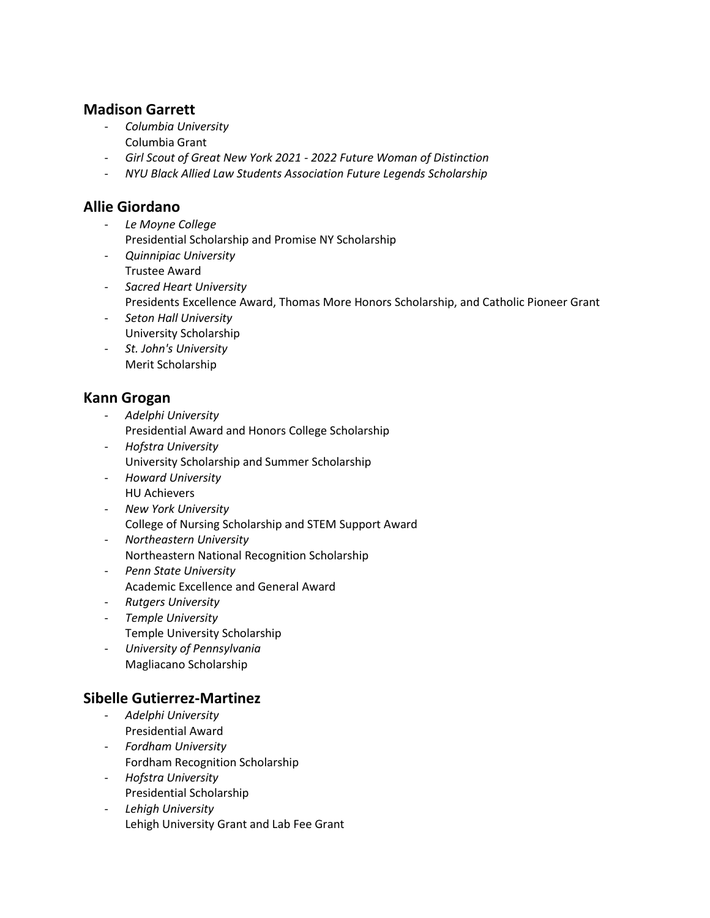### **Madison Garrett**

- *Columbia University* Columbia Grant
- *Girl Scout of Great New York 2021 - 2022 Future Woman of Distinction*
- *NYU Black Allied Law Students Association Future Legends Scholarship*

#### **Allie Giordano**

- *Le Moyne College* Presidential Scholarship and Promise NY Scholarship
- *Quinnipiac University* Trustee Award
- *Sacred Heart University* Presidents Excellence Award, Thomas More Honors Scholarship, and Catholic Pioneer Grant
- *Seton Hall University* University Scholarship
- *St. John's University* Merit Scholarship

#### **Kann Grogan**

- *Adelphi University* Presidential Award and Honors College Scholarship
- *Hofstra University* University Scholarship and Summer Scholarship
- *Howard University* HU Achievers
- *New York University* College of Nursing Scholarship and STEM Support Award
- *Northeastern University* Northeastern National Recognition Scholarship
- *Penn State University* Academic Excellence and General Award
- *Rutgers University*
- *Temple University* Temple University Scholarship
- *University of Pennsylvania* Magliacano Scholarship

### **Sibelle Gutierrez-Martinez**

- *Adelphi University* Presidential Award
- *Fordham University* Fordham Recognition Scholarship
- *Hofstra University* Presidential Scholarship
- *Lehigh University* Lehigh University Grant and Lab Fee Grant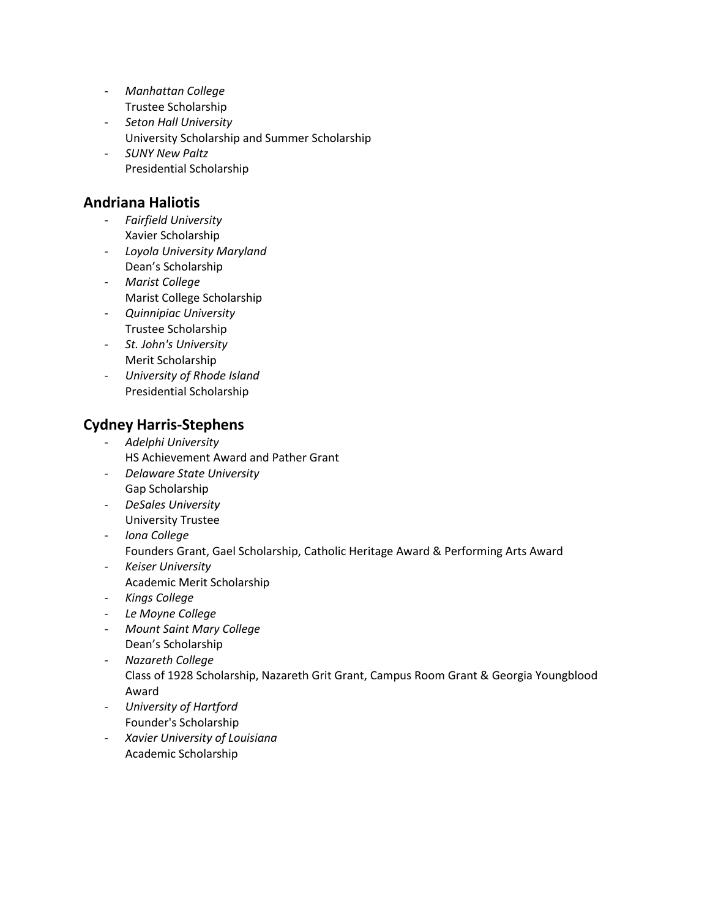- *Manhattan College* Trustee Scholarship
- *Seton Hall University*  University Scholarship and Summer Scholarship
- *SUNY New Paltz* Presidential Scholarship

## **Andriana Haliotis**

- *Fairfield University* Xavier Scholarship
- *Loyola University Maryland* Dean's Scholarship
- *Marist College* Marist College Scholarship
- *Quinnipiac University* Trustee Scholarship
- *St. John's University* Merit Scholarship
- *University of Rhode Island* Presidential Scholarship

# **Cydney Harris-Stephens**

- *Adelphi University* HS Achievement Award and Pather Grant
- *Delaware State University* Gap Scholarship
- *DeSales University* University Trustee
- *Iona College*
	- Founders Grant, Gael Scholarship, Catholic Heritage Award & Performing Arts Award
- *Keiser University* Academic Merit Scholarship
- *Kings College*
- *Le Moyne College*
- *Mount Saint Mary College* Dean's Scholarship
- *Nazareth College* Class of 1928 Scholarship, Nazareth Grit Grant, Campus Room Grant & Georgia Youngblood Award
- *University of Hartford* Founder's Scholarship
- *Xavier University of Louisiana*  Academic Scholarship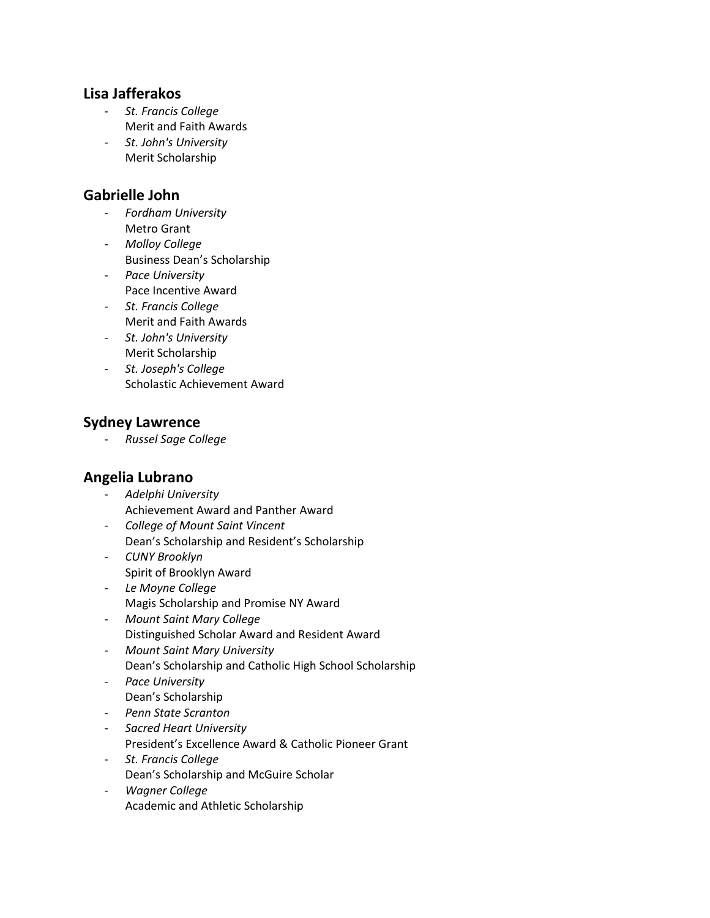#### **Lisa Jafferakos**

- *St. Francis College* Merit and Faith Awards
- *St. John's University* Merit Scholarship

### **Gabrielle John**

- *Fordham University* Metro Grant
- *Molloy College*
- Business Dean's Scholarship - *Pace University* Pace Incentive Award
- *St. Francis College* Merit and Faith Awards
- *St. John's University* Merit Scholarship
- *St. Joseph's College* Scholastic Achievement Award

### **Sydney Lawrence**

- *Russel Sage College*

### **Angelia Lubrano**

- *Adelphi University* Achievement Award and Panther Award
- *College of Mount Saint Vincent* Dean's Scholarship and Resident's Scholarship
- *CUNY Brooklyn* Spirit of Brooklyn Award
- *Le Moyne College* Magis Scholarship and Promise NY Award
- *Mount Saint Mary College* Distinguished Scholar Award and Resident Award
- *Mount Saint Mary University* Dean's Scholarship and Catholic High School Scholarship
- *Pace University*
	- Dean's Scholarship
- *Penn State Scranton*
- *Sacred Heart University*
- President's Excellence Award & Catholic Pioneer Grant
- *St. Francis College*
- Dean's Scholarship and McGuire Scholar
- *Wagner College* Academic and Athletic Scholarship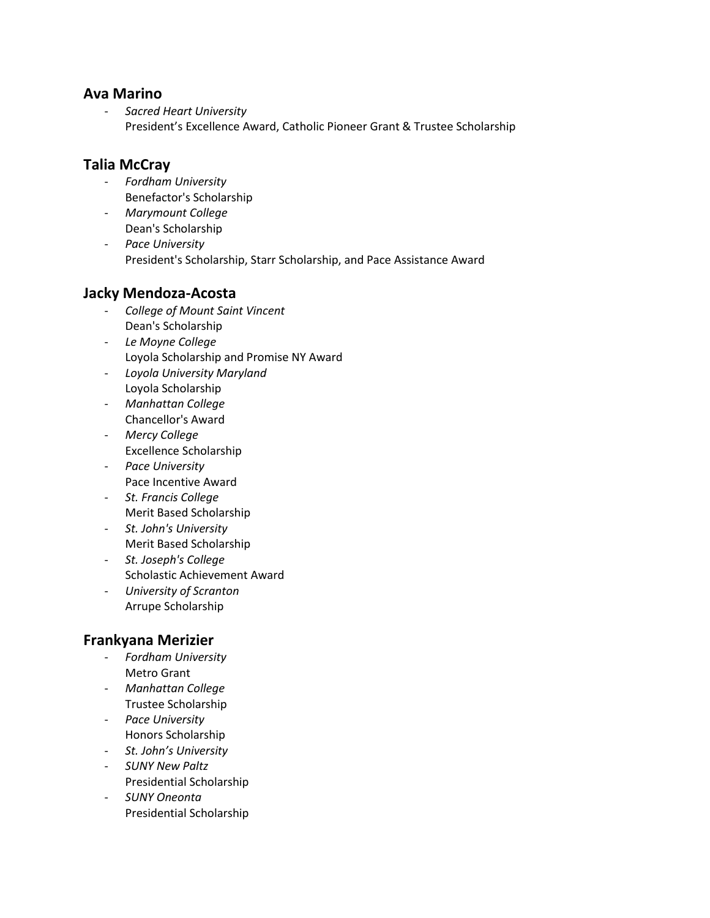#### **Ava Marino**

- *Sacred Heart University* President's Excellence Award, Catholic Pioneer Grant & Trustee Scholarship

## **Talia McCray**

- *Fordham University* Benefactor's Scholarship
- *Marymount College* Dean's Scholarship
- *Pace University* President's Scholarship, Starr Scholarship, and Pace Assistance Award

### **Jacky Mendoza-Acosta**

- *College of Mount Saint Vincent* Dean's Scholarship
- *Le Moyne College* Loyola Scholarship and Promise NY Award
- *Loyola University Maryland* Loyola Scholarship
- *Manhattan College* Chancellor's Award
- *Mercy College* Excellence Scholarship
- *Pace University* Pace Incentive Award
- *St. Francis College* Merit Based Scholarship
- *St. John's University* Merit Based Scholarship
- *St. Joseph's College* Scholastic Achievement Award
- *University of Scranton* Arrupe Scholarship

## **Frankyana Merizier**

- *Fordham University* Metro Grant
- *Manhattan College* Trustee Scholarship
- *Pace University* Honors Scholarship
- *St. John's University*
- *SUNY New Paltz* Presidential Scholarship
- *SUNY Oneonta* Presidential Scholarship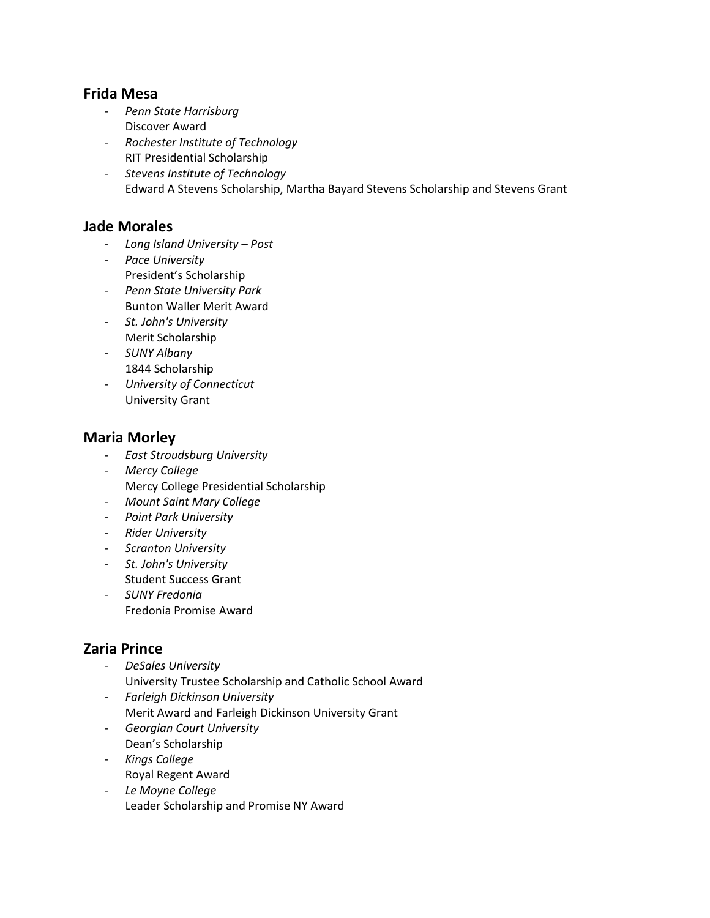#### **Frida Mesa**

- *Penn State Harrisburg* Discover Award
- *Rochester Institute of Technology* RIT Presidential Scholarship
- *Stevens Institute of Technology* Edward A Stevens Scholarship, Martha Bayard Stevens Scholarship and Stevens Grant

#### **Jade Morales**

- *Long Island University – Post*
- *Pace University* President's Scholarship
- *Penn State University Park* Bunton Waller Merit Award
- *St. John's University* Merit Scholarship
- *SUNY Albany* 1844 Scholarship
- *University of Connecticut* University Grant

#### **Maria Morley**

- *East Stroudsburg University*
- *Mercy College* Mercy College Presidential Scholarship
- *Mount Saint Mary College*
- *Point Park University*
- *Rider University*
- *Scranton University*
- *St. John's University* Student Success Grant
- *SUNY Fredonia* Fredonia Promise Award

### **Zaria Prince**

- *DeSales University*  University Trustee Scholarship and Catholic School Award
- *Farleigh Dickinson University* Merit Award and Farleigh Dickinson University Grant
- *Georgian Court University* Dean's Scholarship
- *Kings College* Royal Regent Award
- *Le Moyne College* Leader Scholarship and Promise NY Award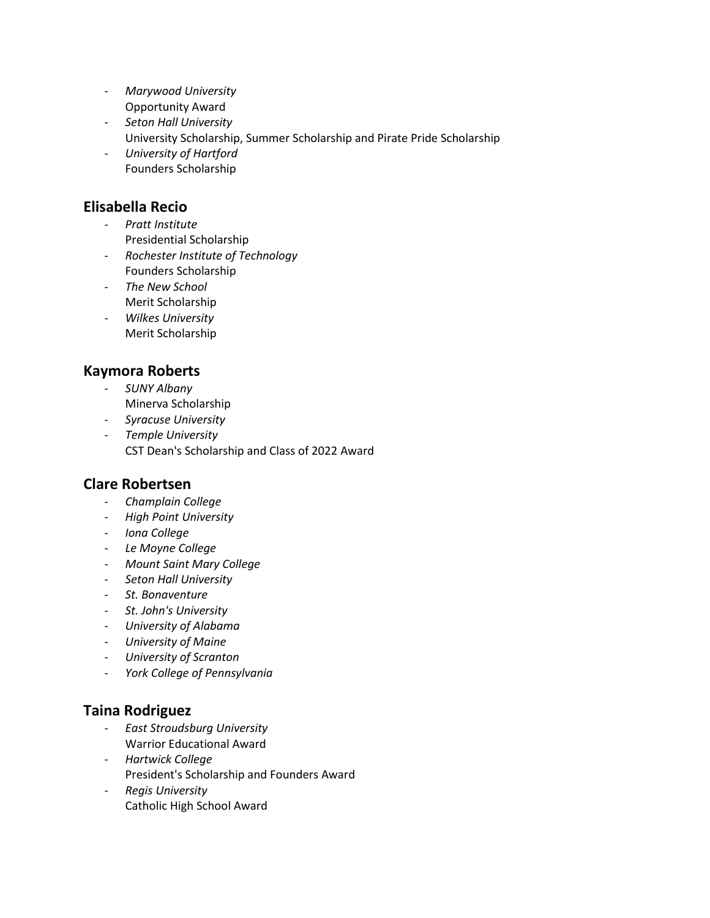- *Marywood University* Opportunity Award
- *Seton Hall University* University Scholarship, Summer Scholarship and Pirate Pride Scholarship
- *University of Hartford* Founders Scholarship

### **Elisabella Recio**

- *Pratt Institute* Presidential Scholarship
- *Rochester Institute of Technology* Founders Scholarship
- *The New School* Merit Scholarship
- *Wilkes University* Merit Scholarship

## **Kaymora Roberts**

- *SUNY Albany* Minerva Scholarship
- *Syracuse University*
- *Temple University* CST Dean's Scholarship and Class of 2022 Award

## **Clare Robertsen**

- *Champlain College*
- *High Point University*
- *Iona College*
- *Le Moyne College*
- *Mount Saint Mary College*
- *Seton Hall University*
- *St. Bonaventure*
- *St. John's University*
- *University of Alabama*
- *University of Maine*
- *University of Scranton*
- *York College of Pennsylvania*

## **Taina Rodriguez**

- *East Stroudsburg University* Warrior Educational Award
- *Hartwick College* President's Scholarship and Founders Award
- *Regis University* Catholic High School Award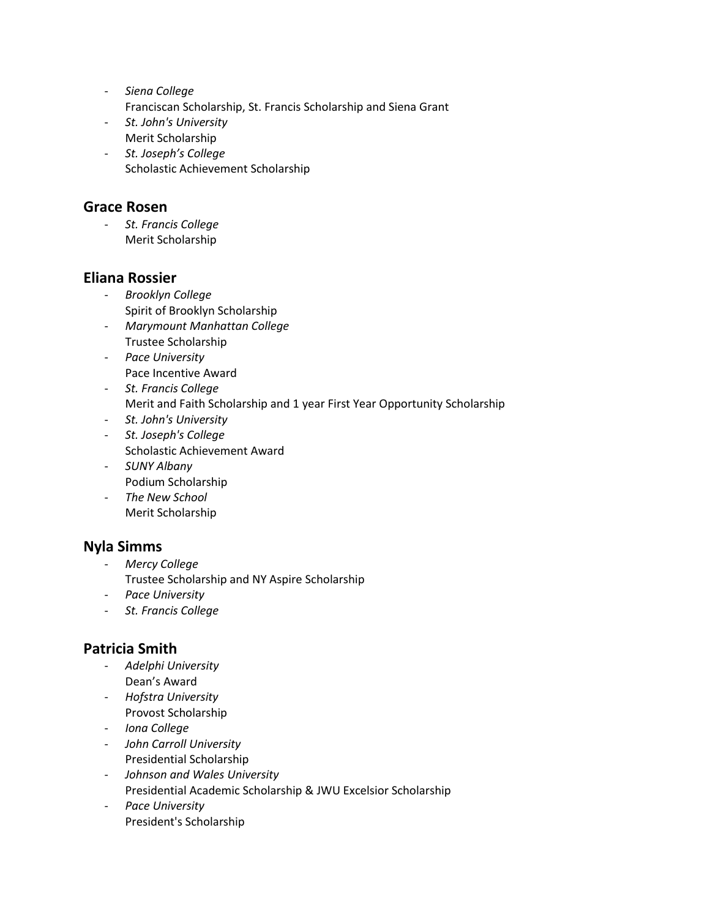- *Siena College* Franciscan Scholarship, St. Francis Scholarship and Siena Grant
- *St. John's University* Merit Scholarship
- *St. Joseph's College* Scholastic Achievement Scholarship

### **Grace Rosen**

- *St. Francis College* Merit Scholarship

## **Eliana Rossier**

- *Brooklyn College* Spirit of Brooklyn Scholarship
- *Marymount Manhattan College* Trustee Scholarship
- *Pace University* Pace Incentive Award
- *St. Francis College* Merit and Faith Scholarship and 1 year First Year Opportunity Scholarship
- *St. John's University*
- *St. Joseph's College* Scholastic Achievement Award
- *SUNY Albany* Podium Scholarship
- *The New School* Merit Scholarship

# **Nyla Simms**

- *Mercy College* Trustee Scholarship and NY Aspire Scholarship
- *Pace University*
- *St. Francis College*

## **Patricia Smith**

- *Adelphi University* Dean's Award
- *Hofstra University* Provost Scholarship
- *Iona College*
- *John Carroll University* Presidential Scholarship
- *Johnson and Wales University* Presidential Academic Scholarship & JWU Excelsior Scholarship
- *Pace University* President's Scholarship